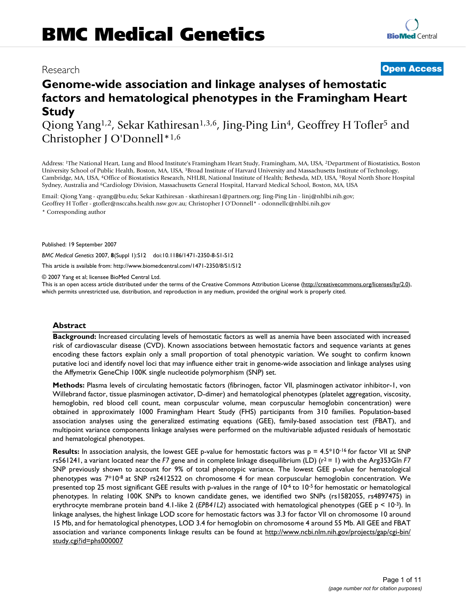# Research **[Open Access](http://www.biomedcentral.com/info/about/charter/)**

# **Genome-wide association and linkage analyses of hemostatic factors and hematological phenotypes in the Framingham Heart Study**

Qiong Yang<sup>1,2</sup>, Sekar Kathiresan<sup>1,3,6</sup>, Jing-Ping Lin<sup>4</sup>, Geoffrey H Tofler<sup>5</sup> and Christopher J O'Donnell\*1,6

Address: 1The National Heart, Lung and Blood Institute's Framingham Heart Study, Framingham, MA, USA, 2Department of Biostatistics, Boston University School of Public Health, Boston, MA, USA, 3Broad Institute of Harvard University and Massachusetts Institute of Technology, Cambridge, MA, USA, 4Office of Biostatistics Research, NHLBI, National Institute of Health; Bethesda, MD, USA, 5Royal North Shore Hospital Sydney, Australia and 6Cardiology Division, Massachusetts General Hospital, Harvard Medical School, Boston, MA, USA

Email: Qiong Yang - qyang@bu.edu; Sekar Kathiresan - skathiresan1@partners.org; Jing-Ping Lin - linj@nhlbi.nih.gov; Geoffrey H Tofler - gtofler@nsccahs.health.nsw.gov.au; Christopher J O'Donnell\* - odonnellc@nhlbi.nih.gov

\* Corresponding author

Published: 19 September 2007

*BMC Medical Genetics* 2007, **8**(Suppl 1):S12 doi:10.1186/1471-2350-8-S1-S12

[This article is available from: http://www.biomedcentral.com/1471-2350/8/S1/S12](http://www.biomedcentral.com/1471-2350/8/S1/S12)

© 2007 Yang et al; licensee BioMed Central Ltd.

This is an open access article distributed under the terms of the Creative Commons Attribution License [\(http://creativecommons.org/licenses/by/2.0\)](http://creativecommons.org/licenses/by/2.0), which permits unrestricted use, distribution, and reproduction in any medium, provided the original work is properly cited.

# **Abstract**

**Background:** Increased circulating levels of hemostatic factors as well as anemia have been associated with increased risk of cardiovascular disease (CVD). Known associations between hemostatic factors and sequence variants at genes encoding these factors explain only a small proportion of total phenotypic variation. We sought to confirm known putative loci and identify novel loci that may influence either trait in genome-wide association and linkage analyses using the Affymetrix GeneChip 100K single nucleotide polymorphism (SNP) set.

**Methods:** Plasma levels of circulating hemostatic factors (fibrinogen, factor VII, plasminogen activator inhibitor-1, von Willebrand factor, tissue plasminogen activator, D-dimer) and hematological phenotypes (platelet aggregation, viscosity, hemoglobin, red blood cell count, mean corpuscular volume, mean corpuscular hemoglobin concentration) were obtained in approximately 1000 Framingham Heart Study (FHS) participants from 310 families. Population-based association analyses using the generalized estimating equations (GEE), family-based association test (FBAT), and multipoint variance components linkage analyses were performed on the multivariable adjusted residuals of hemostatic and hematological phenotypes.

**Results:** In association analysis, the lowest GEE p-value for hemostatic factors was p = 4.5\*10<sup>-16</sup> for factor VII at SNP rs561241, a variant located near the  $F7$  gene and in complete linkage disequilibrium (LD)  $(r^2 = 1)$  with the Arg353Gln  $F7$ SNP previously shown to account for 9% of total phenotypic variance. The lowest GEE p-value for hematological phenotypes was 7\*10-8 at SNP rs2412522 on chromosome 4 for mean corpuscular hemoglobin concentration. We presented top 25 most significant GEE results with p-values in the range of 10-6 to 10-5 for hemostatic or hematological phenotypes. In relating 100K SNPs to known candidate genes, we identified two SNPs (rs1582055, rs4897475) in erythrocyte membrane protein band 4.1-like 2 (*EPB41L2*) associated with hematological phenotypes (GEE p < 10-3). In linkage analyses, the highest linkage LOD score for hemostatic factors was 3.3 for factor VII on chromosome 10 around 15 Mb, and for hematological phenotypes, LOD 3.4 for hemoglobin on chromosome 4 around 55 Mb. All GEE and FBAT association and variance components linkage results can be found at [http://www.ncbi.nlm.nih.gov/projects/gap/cgi-bin/](http://www.ncbi.nlm.nih.gov/projects/gap/cgi-bin/study.cgi?id=phs000007) [study.cgi?id=phs000007](http://www.ncbi.nlm.nih.gov/projects/gap/cgi-bin/study.cgi?id=phs000007)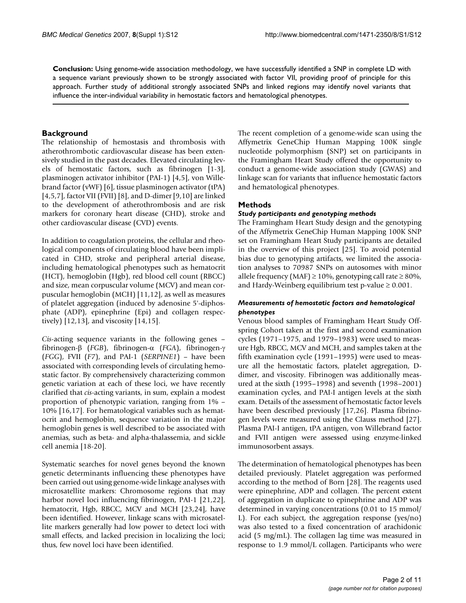**Conclusion:** Using genome-wide association methodology, we have successfully identified a SNP in complete LD with a sequence variant previously shown to be strongly associated with factor VII, providing proof of principle for this approach. Further study of additional strongly associated SNPs and linked regions may identify novel variants that influence the inter-individual variability in hemostatic factors and hematological phenotypes.

# **Background**

The relationship of hemostasis and thrombosis with atherothrombotic cardiovascular disease has been extensively studied in the past decades. Elevated circulating levels of hemostatic factors, such as fibrinogen [1-3], plasminogen activator inhibitor (PAI-1) [4,5], von Willebrand factor (vWF) [6], tissue plasminogen activator (tPA) [4,5,7], factor VII (FVII) [8], and D-dimer [9,10] are linked to the development of atherothrombosis and are risk markers for coronary heart disease (CHD), stroke and other cardiovascular disease (CVD) events.

In addition to coagulation proteins, the cellular and rheological components of circulating blood have been implicated in CHD, stroke and peripheral arterial disease, including hematological phenotypes such as hematocrit (HCT), hemoglobin (Hgb), red blood cell count (RBCC) and size, mean corpuscular volume (MCV) and mean corpuscular hemoglobin (MCH) [11,12], as well as measures of platelet aggregation (induced by adenosine 5'-diphosphate (ADP), epinephrine (Epi) and collagen respectively) [12,13], and viscosity [14,15].

*Cis*-acting sequence variants in the following genes – fibrinogen-β (*FGB*), fibrinogen-α (*FGA*), fibrinogen-γ (*FGG*), FVII (*F7*), and PAI-1 (*SERPINE1*) – have been associated with corresponding levels of circulating hemostatic factor. By comprehensively characterizing common genetic variation at each of these loci, we have recently clarified that *cis*-acting variants, in sum, explain a modest proportion of phenotypic variation, ranging from 1% – 10% [16,17]. For hematological variables such as hematocrit and hemoglobin, sequence variation in the major hemoglobin genes is well described to be associated with anemias, such as beta- and alpha-thalassemia, and sickle cell anemia [18-20].

Systematic searches for novel genes beyond the known genetic determinants influencing these phenotypes have been carried out using genome-wide linkage analyses with microsatellite markers: Chromosome regions that may harbor novel loci influencing fibrinogen, PAI-1 [21,22], hematocrit, Hgb, RBCC, MCV and MCH [23,24], have been identified. However, linkage scans with microsatellite markers generally had low power to detect loci with small effects, and lacked precision in localizing the loci; thus, few novel loci have been identified.

The recent completion of a genome-wide scan using the Affymetrix GeneChip Human Mapping 100K single nucleotide polymorphism (SNP) set on participants in the Framingham Heart Study offered the opportunity to conduct a genome-wide association study (GWAS) and linkage scan for variants that influence hemostatic factors and hematological phenotypes.

# **Methods**

# *Study participants and genotyping methods*

The Framingham Heart Study design and the genotyping of the Affymetrix GeneChip Human Mapping 100K SNP set on Framingham Heart Study participants are detailed in the overview of this project [25]. To avoid potential bias due to genotyping artifacts, we limited the association analyses to 70987 SNPs on autosomes with minor allele frequency (MAF)  $\geq$  10%, genotyping call rate  $\geq$  80%, and Hardy-Weinberg equilibrium test p-value  $\geq 0.001$ .

# *Measurements of hemostatic factors and hematological phenotypes*

Venous blood samples of Framingham Heart Study Offspring Cohort taken at the first and second examination cycles (1971–1975, and 1979–1983) were used to measure Hgb, RBCC, MCV and MCH, and samples taken at the fifth examination cycle (1991–1995) were used to measure all the hemostatic factors, platelet aggregation, Ddimer, and viscosity. Fibrinogen was additionally measured at the sixth (1995–1998) and seventh (1998–2001) examination cycles, and PAI-I antigen levels at the sixth exam. Details of the assessment of hemostatic factor levels have been described previously [17,26]. Plasma fibrinogen levels were measured using the Clauss method [27]. Plasma PAI-I antigen, tPA antigen, von Willebrand factor and FVII antigen were assessed using enzyme-linked immunosorbent assays.

The determination of hematological phenotypes has been detailed previously. Platelet aggregation was performed according to the method of Born [28]. The reagents used were epinephrine, ADP and collagen. The percent extent of aggregation in duplicate to epinephrine and ADP was determined in varying concentrations (0.01 to 15 mmol/ L). For each subject, the aggregation response (yes/no) was also tested to a fixed concentration of arachidonic acid (5 mg/mL). The collagen lag time was measured in response to 1.9 mmol/L collagen. Participants who were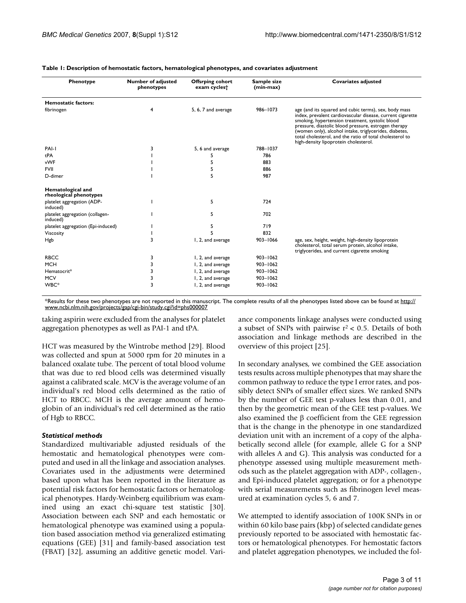| Phenotype                                   | Number of adjusted<br>phenotypes | <b>Offsrping cohort</b><br>exam cycles <sup>+</sup> | Sample size<br>(min-max) | <b>Covariates adjusted</b>                                                                                                                                                                                                                                                                                                                                                                    |  |  |  |  |
|---------------------------------------------|----------------------------------|-----------------------------------------------------|--------------------------|-----------------------------------------------------------------------------------------------------------------------------------------------------------------------------------------------------------------------------------------------------------------------------------------------------------------------------------------------------------------------------------------------|--|--|--|--|
| Hemostatic factors:                         |                                  |                                                     |                          |                                                                                                                                                                                                                                                                                                                                                                                               |  |  |  |  |
| fibrinogen                                  | 4                                | 5, 6, 7 and average                                 | 986-1073                 | age (and its squared and cubic terms), sex, body mass<br>index, prevalent cardiovascular disease, current cigarette<br>smoking, hypertension treatment, systolic blood<br>pressure, diastolic blood pressure, estrogen therapy<br>(women only), alcohol intake, triglycerides, diabetes,<br>total cholesterol, and the ratio of total cholesterol to<br>high-density lipoprotein cholesterol. |  |  |  |  |
| PAI-I                                       | 3                                | 5, 6 and average                                    | 788-1037                 |                                                                                                                                                                                                                                                                                                                                                                                               |  |  |  |  |
| tPA                                         |                                  |                                                     | 786                      |                                                                                                                                                                                                                                                                                                                                                                                               |  |  |  |  |
| vWF                                         |                                  | 5                                                   | 883                      |                                                                                                                                                                                                                                                                                                                                                                                               |  |  |  |  |
| <b>FVII</b>                                 |                                  | 5                                                   | 886                      |                                                                                                                                                                                                                                                                                                                                                                                               |  |  |  |  |
| D-dimer                                     |                                  | 5                                                   | 987                      |                                                                                                                                                                                                                                                                                                                                                                                               |  |  |  |  |
| Hematological and<br>rheological phenotypes |                                  |                                                     |                          |                                                                                                                                                                                                                                                                                                                                                                                               |  |  |  |  |
| platelet aggregation (ADP-<br>induced)      |                                  | 5                                                   | 724                      |                                                                                                                                                                                                                                                                                                                                                                                               |  |  |  |  |
| platelet aggregation (collagen-<br>induced) |                                  | 5                                                   | 702                      |                                                                                                                                                                                                                                                                                                                                                                                               |  |  |  |  |
| platelet aggregation (Epi-induced)          |                                  | 5                                                   | 719                      |                                                                                                                                                                                                                                                                                                                                                                                               |  |  |  |  |
| Viscosity                                   |                                  |                                                     | 832                      |                                                                                                                                                                                                                                                                                                                                                                                               |  |  |  |  |
| Hgb                                         | 3                                | I, 2, and average                                   | 903-1066                 | age, sex, height, weight, high-density lipoprotein<br>cholesterol, total serum protein, alcohol intake,<br>triglycerides, and current cigarette smoking                                                                                                                                                                                                                                       |  |  |  |  |
| <b>RBCC</b>                                 | 3                                | 1, 2, and average                                   | $903 - 1062$             |                                                                                                                                                                                                                                                                                                                                                                                               |  |  |  |  |
| <b>MCH</b>                                  | 3                                | I, 2, and average                                   | $903 - 1062$             |                                                                                                                                                                                                                                                                                                                                                                                               |  |  |  |  |
| Hematocrit*                                 | 3                                | I, 2, and average                                   | $903 - 1062$             |                                                                                                                                                                                                                                                                                                                                                                                               |  |  |  |  |
| <b>MCV</b>                                  | 3                                | I, 2, and average                                   | $903 - 1062$             |                                                                                                                                                                                                                                                                                                                                                                                               |  |  |  |  |
| WBC*                                        | 3                                | I, 2, and average                                   | $903 - 1062$             |                                                                                                                                                                                                                                                                                                                                                                                               |  |  |  |  |

**Table 1: Description of hemostatic factors, hematological phenotypes, and covariates adjustment**

\*Results for these two phenotypes are not reported in this manuscript. The complete results of all the phenotypes listed above can be found at [http://](http://www.ncbi.nlm.nih.gov/projects/gap/cgi-bin/study.cgi?id=phs000007) [www.ncbi.nlm.nih.gov/projects/gap/cgi-bin/study.cgi?id=phs000007](http://www.ncbi.nlm.nih.gov/projects/gap/cgi-bin/study.cgi?id=phs000007)

taking aspirin were excluded from the analyses for platelet aggregation phenotypes as well as PAI-1 and tPA.

HCT was measured by the Wintrobe method [29]. Blood was collected and spun at 5000 rpm for 20 minutes in a balanced oxalate tube. The percent of total blood volume that was due to red blood cells was determined visually against a calibrated scale. MCV is the average volume of an individual's red blood cells determined as the ratio of HCT to RBCC. MCH is the average amount of hemoglobin of an individual's red cell determined as the ratio of Hgb to RBCC.

#### *Statistical methods*

Standardized multivariable adjusted residuals of the hemostatic and hematological phenotypes were computed and used in all the linkage and association analyses. Covariates used in the adjustments were determined based upon what has been reported in the literature as potential risk factors for hemostatic factors or hematological phenotypes. Hardy-Weinberg equilibrium was examined using an exact chi-square test statistic [30]. Association between each SNP and each hemostatic or hematological phenotype was examined using a population based association method via generalized estimating equations (GEE) [31] and family-based association test (FBAT) [32], assuming an additive genetic model. Variance components linkage analyses were conducted using a subset of SNPs with pairwise  $r^2$  < 0.5. Details of both association and linkage methods are described in the overview of this project [25].

In secondary analyses, we combined the GEE association tests results across multiple phenotypes that may share the common pathway to reduce the type I error rates, and possibly detect SNPs of smaller effect sizes. We ranked SNPs by the number of GEE test p-values less than 0.01, and then by the geometric mean of the GEE test p-values. We also examined the β coefficient from the GEE regression that is the change in the phenotype in one standardized deviation unit with an increment of a copy of the alphabetically second allele (for example, allele G for a SNP with alleles A and G). This analysis was conducted for a phenotype assessed using multiple measurement methods such as the platelet aggregation with ADP-, collagen-, and Epi-induced platelet aggregation; or for a phenotype with serial measurements such as fibrinogen level measured at examination cycles 5, 6 and 7.

We attempted to identify association of 100K SNPs in or within 60 kilo base pairs (kbp) of selected candidate genes previously reported to be associated with hemostatic factors or hematological phenotypes. For hemostatic factors and platelet aggregation phenotypes, we included the fol-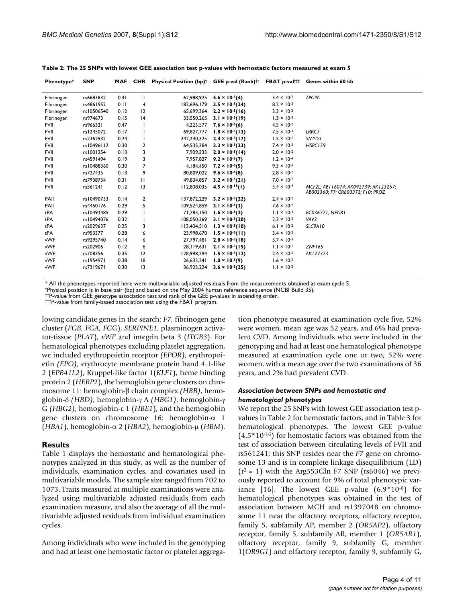| Phenotype*  | <b>SNP</b> | <b>MAF</b> | CHR          | <b>Physical Position (bp)t</b> | GEE p-val (Rank) <sup>††</sup> |                      | FBAT p-valttt Genes within 60 kb                                           |
|-------------|------------|------------|--------------|--------------------------------|--------------------------------|----------------------|----------------------------------------------------------------------------|
| Fibrinogen  | rs6683832  | 0.41       |              | 62,988,925                     | $5.6 \times 10^{-5}(4)$        | $3.4 \times 10^{-2}$ | APG4C                                                                      |
| Fibrinogen  | rs4861952  | 0.11       | 4            | 182,696,179                    | $3.5 \times 10^{-5}(24)$       | $8.2 \times 10^{-3}$ |                                                                            |
| Fibrinogen  | rs10506540 | 0.12       | 12           | 65,699,364                     | $2.2 \times 10^{-5}(16)$       | $3.3 \times 10^{-2}$ |                                                                            |
| Fibrinogen  | rs974673   | 0.15       | 4            | 33,550,265                     | $3.1 \times 10^{-5}(19)$       | $1.3 \times 10^{-3}$ |                                                                            |
| FVII        | rs966321   | 0.47       |              | 4,225,577                      | $7.6 \times 10^{-6}(6)$        | $4.5 \times 10^{-2}$ |                                                                            |
| <b>FVII</b> | rs1245072  | 0.17       |              | 69,827,777                     | $1.8 \times 10^{-5}(13)$       | $7.5 \times 10^{-3}$ | LRRC7                                                                      |
| <b>FVII</b> | rs2362932  | 0.24       |              | 242,240,325                    | $2.4 \times 10^{-5}(17)$       | $1.5 \times 10^{-2}$ | SMYD3                                                                      |
| <b>FVII</b> | rs10496112 | 0.30       | 2            | 64,535,384                     | $3.3 \times 10^{-5}(23)$       | $7.4 \times 10^{-3}$ | HSPC159                                                                    |
| <b>FVII</b> | rs1001254  | 0.13       | 3            | 7,909,333                      | $2.0 \times 10^{-5}(14)$       | $2.0 \times 10^{-2}$ |                                                                            |
| <b>FVII</b> | rs4591494  | 0.19       | 3            | 7.957.827                      | $9.2 \times 10^{-6}(7)$        | $1.2 \times 10^{-4}$ |                                                                            |
| <b>FVII</b> | rs10488360 | 0.30       | 7            | 4,184,450                      | $7.2 \times 10^{-6}(5)$        | $9.3 \times 10^{-3}$ |                                                                            |
| <b>FVII</b> | rs727435   | 0.13       | 9            | 80,809,022                     | $9.6 \times 10^{-6}$ (8)       | $2.8 \times 10^{-2}$ |                                                                            |
| <b>FVII</b> | rs7938734  | 0.31       | $\mathbf{H}$ | 49.834.857                     | $3.2 \times 10^{-5}(21)$       | $7.0 \times 10^{-2}$ |                                                                            |
| <b>FVII</b> | rs561241   | 0.12       | 3            | 112,808,035                    | $4.5 \times 10^{-16}$ (1)      | $3.4 \times 10^{-4}$ | MCF2L; ABI 16074; AK092739; AK123267;<br>AB002360; F7; CR603372; F10; PROZ |
| PAIL        | rs10490733 | 0.14       | 2            | 137,872,229                    | $3.2 \times 10^{-5}(22)$       | $2.4 \times 10^{-2}$ |                                                                            |
| PAIL        | rs4460176  | 0.29       | 5            | 109,524,859                    | $3.1 \times 10^{-6}$ (3)       | $7.6 \times 10^{-2}$ |                                                                            |
| tPA         | rs10493485 | 0.29       |              | 71.783.150                     | $1.6 \times 10^{-6}(2)$        | $1.1 \times 10^{-3}$ | <b>BC036771: NEGRI</b>                                                     |
| tPA         | rs10494076 | 0.32       |              | 108,050,369                    | $3.1 \times 10^{-5}(20)$       | $2.3 \times 10^{-2}$ | VAV3                                                                       |
| tPA         | rs2029637  | 0.25       | 3            | 113,404,510                    | $1.3 \times 10^{-5}(10)$       | $6.1 \times 10^{-2}$ | SLC9A10                                                                    |
| tPA         | rs953377   | 0.28       | 6            | 23,998,670                     | $1.5 \times 10^{-5}(11)$       | $3.4 \times 10^{-2}$ |                                                                            |
| vWF         | rs9295740  | 0.14       | 6            | 27,797,481                     | $2.8 \times 10^{-5} (18)$      | $5.7 \times 10^{-3}$ |                                                                            |
| vWF         | rs202906   | 0.12       | 6            | 28, 119, 631                   | $2.1 \times 10^{-5}(15)$       | $1.1 \times 10^{-1}$ | ZNF165                                                                     |
| vWF         | rs708356   | 0.35       | 12           | 128,998,794                    | $1.5 \times 10^{-5}(12)$       | $2.4 \times 10^{-2}$ | AK127723                                                                   |
| vWF         | rs1954971  | 0.38       | 18           | 26,633,241                     | $1.0 \times 10^{-5}(9)$        | $1.6 \times 10^{-2}$ |                                                                            |
| vWF         | rs7319671  | 0.30       | 3            | 36,923,224                     | $3.6 \times 10^{-5}(25)$       | $1.1 \times 10^{-2}$ |                                                                            |

**Table 2: The 25 SNPs with lowest GEE association test p-values with hemostatic factors measured at exam 5**

\* All the phenotypes reported here were multivariable adjusted residuals from the measurements obtained at exam cycle 5.

†Physical position is in base pair (bp) and based on the May 2004 human reference sequence (NCBI Build 35).

††P-value from GEE genotype association test and rank of the GEE p-values in ascending order.

†††P-value from family-based association test using the FBAT program.

lowing candidate genes in the search: *F7*, fibrinogen gene cluster (*FGB, FGA, FGG*), *SERPINE1*, plasminogen activator-tissue (*PLAT*), *vWF* and integrin beta 3 (*ITGB3*). For hematological phenotypes excluding platelet aggregation, we included erythropoietin receptor *(EPOR)*, erythropoietin *(EPO)*, erythrocyte membrane protein band 4.1-like 2 (*EPB41L2*), Kruppel-like factor 1(*KLF1*), heme binding protein 2 (*HEBP2*), the hemoglobin gene clusters on chromosome 11: hemoglobin-β chain complex *(HBB)*, hemoglobin-δ *(HBD)*, hemoglobin-γ A *(HBG1)*, hemoglobin-γ G *(HBG2)*, hemoglobin-ε 1 (*HBE1*), and the hemoglobin gene clusters on chromosome 16: hemoglobin-α 1 (*HBA1*), hemoglobin-α 2 (*HBA2*), hemoglobin-μ (*HBM*).

# **Results**

Table 1 displays the hemostatic and hematological phenotypes analyzed in this study, as well as the number of individuals, examination cycles, and covariates used in multivariable models. The sample size ranged from 702 to 1073. Traits measured at multiple examinations were analyzed using multivariable adjusted residuals from each examination measure, and also the average of all the multivariable adjusted residuals from individual examination cycles.

Among individuals who were included in the genotyping and had at least one hemostatic factor or platelet aggregation phenotype measured at examination cycle five, 52% were women, mean age was 52 years, and 6% had prevalent CVD. Among individuals who were included in the genotyping and had at least one hematological phenotype measured at examination cycle one or two, 52% were women, with a mean age over the two examinations of 36 years, and 2% had prevalent CVD.

# *Association between SNPs and hemostatic and hematological phenotypes*

We report the 25 SNPs with lowest GEE association test pvalues in Table 2 for hemostatic factors, and in Table 3 for hematological phenotypes. The lowest GEE p-value  $(4.5*10<sup>-16</sup>)$  for hemostatic factors was obtained from the test of association between circulating levels of FVII and rs561241; this SNP resides near the *F7* gene on chromosome 13 and is in complete linkage disequilibrium (LD)  $(r^2 = 1)$  with the Arg353Gln F7 SNP (rs6046) we previously reported to account for 9% of total phenotypic variance [16]. The lowest GEE p-value  $(6.9*10^{-8})$  for hematological phenotypes was obtained in the test of association between MCH and rs1397048 on chromosome 11 near the olfactory receptors, olfactory receptor, family 5, subfamily AP, member 2 (*OR5AP2*), olfactory receptor, family 5, subfamily AR, member 1 (*OR5AR1*), olfactory receptor, family 9, subfamily G, member 1(*OR9G1*) and olfactory receptor, family 9, subfamily G,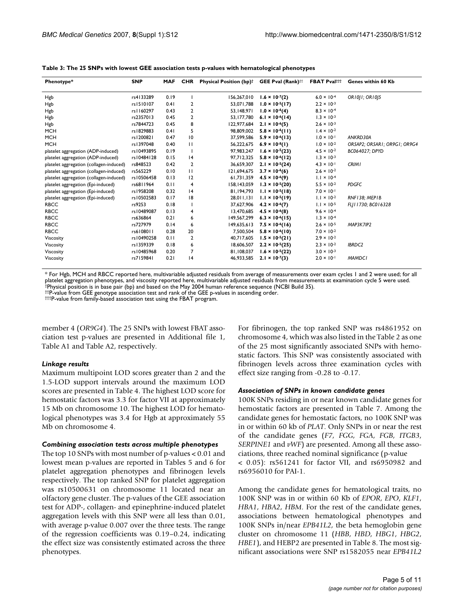| Phenotype*                              | <b>SNP</b>  | <b>MAF</b> | <b>CHR</b>     | <b>Physical Position (bp)</b> <sup>†</sup> | GEE Pval (Rank) <sup>††</sup>      | <b>FBAT Pvalttt</b>  | Genes within 60 Kb           |
|-----------------------------------------|-------------|------------|----------------|--------------------------------------------|------------------------------------|----------------------|------------------------------|
| Hgb                                     | rs4133289   | 0.19       |                | 156,267,010                                | $1.6 \times 10^{-7}(2)$            | $6.0 \times 10^{-4}$ | OR1011; OR1015               |
| Hgb                                     | rs1510107   | 0.41       | 2              | 53,071,788                                 | $1.0 \times 10^{-5}(17)$           | $2.2 \times 10^{-3}$ |                              |
| Hgb                                     | rs   160297 | 0.43       | 2              | 53,148,971                                 | $1.0 \times 10^{-6}(4)$            | $8.3 \times 10^{-4}$ |                              |
| Hgb                                     | rs2357013   | 0.45       | 2              | 53,177,780                                 | 6.1 $\times$ 10 <sup>-6</sup> (14) | $1.3 \times 10^{-3}$ |                              |
| Hgb                                     | rs7844723   | 0.45       | 8              | 122,977,684                                | $2.1 \times 10^{-6}(5)$            | $2.6 \times 10^{-3}$ |                              |
| <b>MCH</b>                              | rs1829883   | 0.41       | 5              | 98,809,002                                 | $5.8 \times 10^{-6} (11)$          | $1.4 \times 10^{-2}$ |                              |
| <b>MCH</b>                              | rs1200821   | 0.47       | 10             | 37,599,586                                 | $5.9 \times 10^{-6}$ (13)          | $1.0 \times 10^{-1}$ | ANKRD30A                     |
| <b>MCH</b>                              | rs1397048   | 0.40       | П              | 56,222,675                                 | $6.9 \times 10^{-8}(1)$            | $1.0 \times 10^{-2}$ | OR5AP2; OR5AR1; OR9G1; OR9G4 |
| platelet aggregation (ADP-induced)      | rs10493895  | 0.19       |                | 97,983,247                                 | $1.6 \times 10^{-5}(23)$           | $4.5 \times 10^{-2}$ | BC064027; DPYD               |
| platelet aggregation (ADP-induced)      | rs10484128  | 0.15       | 4              | 97,712,325                                 | $5.8 \times 10^{-6} (12)$          | $1.3 \times 10^{-3}$ |                              |
| platelet aggregation (collagen-induced) | rs848523    | 0.42       | $\overline{2}$ | 36,659,307                                 | $2.1 \times 10^{-5}(24)$           | $4.3 \times 10^{-1}$ | <b>CRIMI</b>                 |
| platelet aggregation (collagen-induced) | rs565229    | 0.10       | П              | 121,694,675                                | $3.7 \times 10^{-6}(6)$            | $2.6 \times 10^{-2}$ |                              |
| platelet aggregation (collagen-induced) | rs10506458  | 0.13       | 12             | 61,731,359                                 | $4.5 \times 10^{-6}(9)$            | $1.1 \times 10^{-4}$ |                              |
| platelet aggregation (Epi-induced)      | rs6811964   | 0.11       | $\overline{4}$ | 158,143,059                                | $1.3 \times 10^{-5}(20)$           | $5.5 \times 10^{-2}$ | <b>PDGFC</b>                 |
| platelet aggregation (Epi-induced)      | rs1958208   | 0.32       | 4              | 81,194,793                                 | $1.1 \times 10^{-5}(18)$           | $7.0 \times 10^{-1}$ |                              |
| platelet aggregation (Epi-induced)      | rs10502583  | 0.17       | 18             | 28,011,131                                 | $1.1 \times 10^{-5}(19)$           | $1.1 \times 10^{-2}$ | RNF138; MEP1B                |
| <b>RBCC</b>                             | rs9253      | 0.18       |                | 37,627,906                                 | $4.2 \times 10^{-6}(7)$            | $1.1 \times 10^{-5}$ | FLI11730; BC016328           |
| <b>RBCC</b>                             | rs10489087  | 0.13       | 4              | 13,470,685                                 | $4.5 \times 10^{-6}$ (8)           | $9.6 \times 10^{-4}$ |                              |
| <b>RBCC</b>                             | rs636864    | 0.21       | 6              | 149,567,299                                | $6.3 \times 10^{-6}(15)$           | $1.3 \times 10^{-4}$ |                              |
| <b>RBCC</b>                             | rs727979    | 0.14       | 6              | 149,635,613                                | $7.5 \times 10^{-6}(16)$           | $2.6 \times 10^{-5}$ | MAP3K7IP2                    |
| <b>RBCC</b>                             | rs6108011   | 0.28       | 20             | 7,500,504                                  | $5.8 \times 10^{-6} (10)$          | $7.0 \times 10^{-2}$ |                              |
| Viscosity                               | rs10490258  | 0.11       | $\overline{2}$ | 40,717,605                                 | $1.5 \times 10^{-5}(21)$           | $2.9 \times 10^{-2}$ |                              |
| Viscosity                               | rs1359339   | 0.18       | 6              | 18,606,507                                 | $2.2 \times 10^{-5}(25)$           | $2.3 \times 10^{-2}$ | <b>IBRDC2</b>                |
| Viscosity                               | rs10485968  | 0.20       | 7              | 81,108,037                                 | $1.6 \times 10^{-5}(22)$           | $3.0 \times 10^{-3}$ |                              |
| Viscosity                               | rs7159841   | 0.21       | 4              | 46,933,585                                 | $2.1 \times 10^{-7}(3)$            | $2.0 \times 10^{-1}$ | <b>MAMDCI</b>                |

#### **Table 3: The 25 SNPs with lowest GEE association tests p-values with hematological phenotypes**

\* For Hgb, MCH and RBCC reported here, multivariable adjusted residuals from average of measurements over exam cycles 1 and 2 were used; for all platelet aggregation phenotypes, and viscosity reported here, multivariable adjusted residuals from measurements at examination cycle 5 were used.<br>†Physical position is in base pair (bp) and based on the May 2004 human ref ††P-value from GEE genotype association test and rank of the GEE p-values in ascending order.

†††P-value from family-based association test using the FBAT program.

member 4 (*OR9G4*). The 25 SNPs with lowest FBAT association test p-values are presented in Additional file 1, Table A1 and Table A2, respectively.

#### *Linkage results*

Maximum multipoint LOD scores greater than 2 and the 1.5-LOD support intervals around the maximum LOD scores are presented in Table 4. The highest LOD score for hemostatic factors was 3.3 for factor VII at approximately 15 Mb on chromosome 10. The highest LOD for hematological phenotypes was 3.4 for Hgb at approximately 55 Mb on chromosome 4.

#### *Combining association tests across multiple phenotypes*

The top 10 SNPs with most number of p-values < 0.01 and lowest mean p-values are reported in Tables 5 and 6 for platelet aggregation phenotypes and fibrinogen levels respectively. The top ranked SNP for platelet aggregation was rs10500631 on chromosome 11 located near an olfactory gene cluster. The p-values of the GEE association test for ADP-, collagen- and epinephrine-induced platelet aggregation levels with this SNP were all less than 0.01, with average p-value 0.007 over the three tests. The range of the regression coefficients was 0.19–0.24, indicating the effect size was consistently estimated across the three phenotypes.

For fibrinogen, the top ranked SNP was rs4861952 on chromosome 4, which was also listed in the Table 2 as one of the 25 most significantly associated SNPs with hemostatic factors. This SNP was consistently associated with fibrinogen levels across three examination cycles with effect size ranging from -0.28 to -0.17.

#### *Association of SNPs in known candidate genes*

100K SNPs residing in or near known candidate genes for hemostatic factors are presented in Table 7. Among the candidate genes for hemostatic factors, no 100K SNP was in or within 60 kb of *PLAT*. Only SNPs in or near the rest of the candidate genes (*F7*, *FGG*, *FGA*, *FGB*, *ITGB3*, *SERPINE1* and *vWF*) are presented. Among all these associations, three reached nominal significance (p-value < 0.05): rs561241 for factor VII, and rs6950982 and rs6956010 for PAI-1.

Among the candidate genes for hematological traits, no 100K SNP was in or within 60 Kb of *EPOR*, *EPO*, *KLF1*, *HBA1*, *HBA2*, *HBM*. For the rest of the candidate genes, associations between hematological phenotypes and 100K SNPs in/near *EPB41L2*, the beta hemoglobin gene cluster on chromosome 11 (*HBB*, *HBD*, *HBG1*, *HBG2*, *HBE1*), and HEBP2 are presented in Table 8. The most significant associations were SNP rs1582055 near *EPB41L2*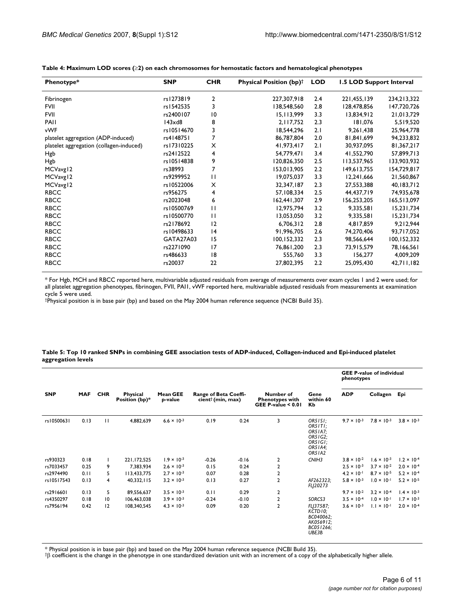| Phenotype*                              | <b>SNP</b>     | <b>CHR</b>     | <b>Physical Position (bp)<sup>†</sup></b> | <b>LOD</b> | 1.5 LOD Support Interval |             |
|-----------------------------------------|----------------|----------------|-------------------------------------------|------------|--------------------------|-------------|
| Fibrinogen                              | rs1273819      | $\overline{2}$ | 227,307,918                               | 2.4        | 221,455,139              | 234,213,322 |
| <b>FVII</b>                             | rs1542535      | 3              | 138,548,560                               | 2.8        | 128,478,856              | 147,720,726 |
| <b>FVII</b>                             | rs2400107      | 10             | 15,113,999                                | 3.3        | 13,834,912               | 21,013,729  |
| PAII                                    | $143\times$ d8 | 8              | 2,117,752                                 | 2.3        | 181,076                  | 5,519,520   |
| vWF                                     | rs10514670     | 3              | 18,544,296                                | 2.1        | 9,261,438                | 25,964,778  |
| platelet aggregation (ADP-induced)      | rs4148751      | 7              | 86,787,804                                | 2.0        | 81,841,699               | 94,233,832  |
| platelet aggregation (collagen-induced) | rs17310225     | X              | 41,973,417                                | 2.1        | 30,937,095               | 81,367,217  |
| Hgb                                     | rs2412522      | 4              | 54,779,471                                | 3.4        | 41,552,790               | 57,899,713  |
| Hgb                                     | rs10514838     | 9              | 120,826,350                               | 2.5        | 113,537,965              | 133,903,932 |
| MCVavg12                                | rs38993        | 7              | 153,013,905                               | 2.2        | 149,613,755              | 154,729,817 |
| MCVavg12                                | rs9299952      | $\mathbf{H}$   | 19,075,037                                | 3.3        | 12,241,666               | 21,560,867  |
| MCVavg12                                | rs10522006     | X              | 32,347,187                                | 2.3        | 27,553,388               | 40,183,712  |
| <b>RBCC</b>                             | rs956275       | 4              | 57,108,334                                | 2.5        | 44,437,719               | 74,935,678  |
| <b>RBCC</b>                             | rs2023048      | 6              | 162,441,307                               | 2.9        | 156,253,205              | 165,513,097 |
| <b>RBCC</b>                             | rs10500769     | $\mathbf{H}$   | 12,975,794                                | 3.2        | 9,335,581                | 15,231,734  |
| <b>RBCC</b>                             | rs10500770     | $\mathbf{H}$   | 13,053,050                                | 3.2        | 9,335,581                | 15,231,734  |
| <b>RBCC</b>                             | rs2178692      | 12             | 6,706,312                                 | 2.8        | 4,817,859                | 9,212,944   |
| <b>RBCC</b>                             | rs10498633     | 4              | 91,996,705                                | 2.6        | 74,270,406               | 93,717,052  |
| <b>RBCC</b>                             | GATA27A03      | 15             | 100,152,332                               | 2.3        | 98,566,644               | 100,152,332 |
| <b>RBCC</b>                             | rs2271090      | 17             | 76,861,200                                | 2.3        | 73,915,579               | 78,166,561  |
| <b>RBCC</b>                             | rs486633       | 8              | 555,760                                   | 3.3        | 156,277                  | 4,009,209   |
| <b>RBCC</b>                             | rs20037        | 22             | 27,802,395                                | 2.2        | 25,095,430               | 42,711,182  |

**Table 4: Maximum LOD scores (**≥**2) on each chromosomes for hemostatic factors and hematological phenotypes**

\* For Hgb, MCH and RBCC reported here, multivariable adjusted residuals from average of measurements over exam cycles 1 and 2 were used; for all platelet aggregation phenotypes, fibrinogen, FVII, PAI1, vWF reported here, multivariable adjusted residuals from measurements at examination cycle 5 were used.

†Physical position is in base pair (bp) and based on the May 2004 human reference sequence (NCBI Build 35).

#### **Table 5: Top 10 ranked SNPs in combining GEE association tests of ADP-induced, Collagen-induced and Epi-induced platelet aggregation levels**

|            |            |              |                                   |                            |                                                        |         |                |                                                                          | <b>GEE P-value of individual</b><br>phenotypes |                      |                      |  |  |  |  |  |  |  |  |  |  |  |  |  |  |  |  |  |  |  |  |  |  |  |  |  |  |  |  |  |  |  |                                                             |                         |            |              |  |
|------------|------------|--------------|-----------------------------------|----------------------------|--------------------------------------------------------|---------|----------------|--------------------------------------------------------------------------|------------------------------------------------|----------------------|----------------------|--|--|--|--|--|--|--|--|--|--|--|--|--|--|--|--|--|--|--|--|--|--|--|--|--|--|--|--|--|--|--|-------------------------------------------------------------|-------------------------|------------|--------------|--|
| <b>SNP</b> | <b>MAF</b> | <b>CHR</b>   | <b>Physical</b><br>Position (bp)* | <b>Mean GEE</b><br>p-value | Range of Beta Coeffi-<br>cient <sup>†</sup> (min, max) |         |                |                                                                          |                                                |                      |                      |  |  |  |  |  |  |  |  |  |  |  |  |  |  |  |  |  |  |  |  |  |  |  |  |  |  |  |  |  |  |  | Number of<br><b>Phenotypes with</b><br>GEE P-value $< 0.01$ | Gene<br>within 60<br>Кb | <b>ADP</b> | Collagen Epi |  |
| rs10500631 | 0.13       | $\mathbf{H}$ | 4,882,639                         | $6.6 \times 10^{-3}$       | 0.19                                                   | 0.24    | 3              | OR51SI:<br>OR5ITI:<br>OR51A7:<br>OR51G2:<br>OR5IGI:<br>OR51A4:<br>OR51A2 | $9.7 \times 10^{-3}$                           | $7.8 \times 10^{-3}$ | $3.8 \times 10^{-3}$ |  |  |  |  |  |  |  |  |  |  |  |  |  |  |  |  |  |  |  |  |  |  |  |  |  |  |  |  |  |  |  |                                                             |                         |            |              |  |
| rs930323   | 0.18       |              | 221,172,525                       | $1.9 \times 10^{-3}$       | $-0.26$                                                | $-0.16$ | 2              | CNIH <sub>3</sub>                                                        | $3.8 \times 10^{-2}$                           | $1.6 \times 10^{-3}$ | $1.2 \times 10^{-4}$ |  |  |  |  |  |  |  |  |  |  |  |  |  |  |  |  |  |  |  |  |  |  |  |  |  |  |  |  |  |  |  |                                                             |                         |            |              |  |
| rs7033457  | 0.25       | 9            | 7,383,934                         | $2.6 \times 10^{-3}$       | 0.15                                                   | 0.24    | $\mathbf 2$    |                                                                          | $2.5 \times 10^{-3}$                           | $3.7 \times 10^{-2}$ | $2.0 \times 10^{-4}$ |  |  |  |  |  |  |  |  |  |  |  |  |  |  |  |  |  |  |  |  |  |  |  |  |  |  |  |  |  |  |  |                                                             |                         |            |              |  |
| rs2974490  | 0.11       | 5            | 113,433,775                       | $2.7 \times 10^{-3}$       | 0.07                                                   | 0.28    | $\mathbf{2}$   |                                                                          | $4.2 \times 10^{-1}$                           | $8.7 \times 10^{-5}$ | $5.2 \times 10^{-4}$ |  |  |  |  |  |  |  |  |  |  |  |  |  |  |  |  |  |  |  |  |  |  |  |  |  |  |  |  |  |  |  |                                                             |                         |            |              |  |
| rs10517543 | 0.13       | 4            | 40,332,115                        | $3.2 \times 10^{-3}$       | 0.13                                                   | 0.27    | 2              | AF262323:<br>FLJ20273                                                    | $5.8 \times 10^{-3}$                           | $1.0 \times 10^{-1}$ | $5.2 \times 10^{-5}$ |  |  |  |  |  |  |  |  |  |  |  |  |  |  |  |  |  |  |  |  |  |  |  |  |  |  |  |  |  |  |  |                                                             |                         |            |              |  |
| rs2916601  | 0.13       | 5            | 89,556,637                        | $3.5 \times 10^{-3}$       | 0.11                                                   | 0.29    | $\mathbf{2}$   |                                                                          | $9.7 \times 10^{-2}$                           | $3.2 \times 10^{-4}$ | $1.4 \times 10^{-3}$ |  |  |  |  |  |  |  |  |  |  |  |  |  |  |  |  |  |  |  |  |  |  |  |  |  |  |  |  |  |  |  |                                                             |                         |            |              |  |
| rs4350297  | 0.18       | 10           | 106,463,038                       | $3.9 \times 10^{-3}$       | $-0.24$                                                | $-0.10$ | 2              | SORCS3                                                                   | $3.5 \times 10^{-4}$                           | $1.0 \times 10^{-1}$ | $1.7 \times 10^{-3}$ |  |  |  |  |  |  |  |  |  |  |  |  |  |  |  |  |  |  |  |  |  |  |  |  |  |  |  |  |  |  |  |                                                             |                         |            |              |  |
| rs7956194  | 0.42       | 12           | 108,340,545                       | $4.3 \times 10^{-3}$       | 0.09                                                   | 0.20    | $\overline{2}$ | FLI37587:<br>KCTD10;<br>BC040062;<br>AK056912;<br>BC051266;<br>UBE3B     | $3.6 \times 10^{-3}$                           | $1.1 \times 10^{-1}$ | $2.0 \times 10^{-4}$ |  |  |  |  |  |  |  |  |  |  |  |  |  |  |  |  |  |  |  |  |  |  |  |  |  |  |  |  |  |  |  |                                                             |                         |            |              |  |

\* Physical position is in base pair (bp) and based on the May 2004 human reference sequence (NCBI Build 35).

†β coefficient is the change in the phenotype in one standardized deviation unit with an increment of a copy of the alphabetically higher allele.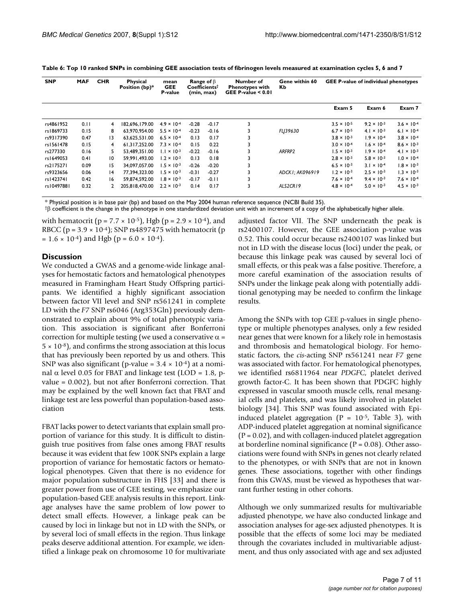| <b>SNP</b> | <b>MAF</b> | <b>CHR</b>   | <b>Physical</b><br>Position (bp)* | mean<br><b>GEE</b><br>P-value | <b>Range of</b> $\beta$<br>$Coefficients^{\dagger}$<br>(min, max) |         | Number of<br><b>Phenotypes with</b><br>GEE P-value $< 0.01$ | Gene within 60<br>Кb | <b>GEE P-value of individual phenotypes</b> |                      |                               |
|------------|------------|--------------|-----------------------------------|-------------------------------|-------------------------------------------------------------------|---------|-------------------------------------------------------------|----------------------|---------------------------------------------|----------------------|-------------------------------|
|            |            |              |                                   |                               |                                                                   |         |                                                             |                      | Exam 5                                      | Exam 6               | Exam 7                        |
| rs4861952  | 0.11       | 4            | 182.696.179.00                    | $4.9 \times 10^{-4}$          | $-0.28$                                                           | $-0.17$ | 3                                                           |                      | $3.5 \times 10^{-5}$                        | $9.2 \times 10^{-3}$ | $3.6 \times 10^{-4}$          |
| rs1869733  | 0.15       | 8            | 63.970.954.00                     | $5.5 \times 10^{-4}$          | $-0.23$                                                           | $-0.16$ |                                                             | FLI39630             | $6.7 \times 10^{-5}$                        | $4.1 \times 10^{-3}$ | 6.1 $\times$ 10 <sup>-4</sup> |
| rs9317390  | 0.47       | 13           | 63.625.531.00                     | $6.5 \times 10^{-4}$          | 0.13                                                              | 0.17    | 3                                                           |                      | $3.8 \times 10^{-3}$                        | $1.9 \times 10^{-4}$ | $3.8 \times 10^{-4}$          |
| rs1561478  | 0.15       | 4            | 61.317.252.00                     | $7.3 \times 10^{-4}$          | 0.15                                                              | 0.22    | 3                                                           |                      | $3.0 \times 10^{-4}$                        | $1.6 \times 10^{-4}$ | $8.6 \times 10^{-3}$          |
| rs277330   | 0.16       | 5.           | 53.489.351.00                     | $1.1 \times 10^{-3}$          | $-0.22$                                                           | $-0.16$ | З                                                           | ARFRP2               | $1.5 \times 10^{-3}$                        | $1.9 \times 10^{-4}$ | $4.1 \times 10^{-3}$          |
| rs1649053  | 0.41       | 10           | 59.991.493.00                     | $1.2 \times 10^{-3}$          | 0.13                                                              | 0.18    | 3                                                           |                      | $2.8 \times 10^{-3}$                        | $5.8 \times 10^{-3}$ | $1.0 \times 10^{-4}$          |
| rs2175271  | 0.09       | 15           | 34.097.057.00                     | $1.5 \times 10^{-3}$          | $-0.26$                                                           | $-0.20$ | 3                                                           |                      | $6.5 \times 10^{-3}$                        | $3.1 \times 10^{-4}$ | $1.8 \times 10^{-3}$          |
| rs9323656  | 0.06       | 4            | 77.394.323.00                     | $1.5 \times 10^{-3}$          | $-0.31$                                                           | $-0.27$ |                                                             | ADCKI: AK096919      | $1.2 \times 10^{-3}$                        | $2.5 \times 10^{-3}$ | $1.3 \times 10^{-3}$          |
| rs1423741  | 0.42       | 16           | 59.874.592.00                     | $1.8 \times 10^{-3}$          | $-0.17$                                                           | $-0.11$ | 3                                                           |                      | $7.6 \times 10^{-4}$                        | $9.4 \times 10^{-3}$ | $7.6 \times 10^{-4}$          |
| rs10497881 | 0.32       | $\mathbf{2}$ | 205.818.470.00                    | $2.2 \times 10^{-3}$          | 0.14                                                              | 0.17    | 3                                                           | ALS2CR19             | $4.8 \times 10^{-4}$                        | $5.0 \times 10^{-3}$ | $4.5 \times 10^{-3}$          |

**Table 6: Top 10 ranked SNPs in combining GEE association tests of fibrinogen levels measured at examination cycles 5, 6 and 7**

\* Physical position is in base pair (bp) and based on the May 2004 human reference sequence (NCBI Build 35).

†β coefficient is the change in the phenotype in one standardized deviation unit with an increment of a copy of the alphabetically higher allele.

with hematocrit ( $p = 7.7 \times 10^{-5}$ ), Hgb ( $p = 2.9 \times 10^{-4}$ ), and RBCC ( $p = 3.9 \times 10^{-4}$ ); SNP rs4897475 with hematocrit ( $p$  $= 1.6 \times 10^{-4}$  and Hgb (p = 6.0  $\times 10^{-4}$ ).

### **Discussion**

We conducted a GWAS and a genome-wide linkage analyses for hemostatic factors and hematological phenotypes measured in Framingham Heart Study Offspring participants. We identified a highly significant association between factor VII level and SNP rs561241 in complete LD with the *F7* SNP rs6046 (Arg353Gln) previously demonstrated to explain about 9% of total phenotypic variation. This association is significant after Bonferroni correction for multiple testing (we used a conservative  $\alpha$  =  $5 \times 10^{-8}$ , and confirms the strong association at this locus that has previously been reported by us and others. This SNP was also significant (p-value =  $3.4 \times 10^{-4}$ ) at a nominal α level 0.05 for FBAT and linkage test (LOD = 1.8, pvalue = 0.002), but not after Bonferroni correction. That may be explained by the well known fact that FBAT and linkage test are less powerful than population-based association tests.

FBAT lacks power to detect variants that explain small proportion of variance for this study. It is difficult to distinguish true positives from false ones among FBAT results because it was evident that few 100K SNPs explain a large proportion of variance for hemostatic factors or hematological phenotypes. Given that there is no evidence for major population substructure in FHS [33] and there is greater power from use of GEE testing, we emphasize our population-based GEE analysis results in this report. Linkage analyses have the same problem of low power to detect small effects. However, a linkage peak can be caused by loci in linkage but not in LD with the SNPs, or by several loci of small effects in the region. Thus linkage peaks deserve additional attention. For example, we identified a linkage peak on chromosome 10 for multivariate adjusted factor VII. The SNP underneath the peak is rs2400107. However, the GEE association p-value was 0.52. This could occur because rs2400107 was linked but not in LD with the disease locus (loci) under the peak, or because this linkage peak was caused by several loci of small effects, or this peak was a false positive. Therefore, a more careful examination of the association results of SNPs under the linkage peak along with potentially additional genotyping may be needed to confirm the linkage results.

Among the SNPs with top GEE p-values in single phenotype or multiple phenotypes analyses, only a few resided near genes that were known for a likely role in hemostasis and thrombosis and hematological biology. For hemostatic factors, the *cis*-acting SNP rs561241 near *F7* gene was associated with factor. For hematological phenotypes, we identified rs6811964 near *PDGFC*, platelet derived growth factor-C. It has been shown that PDGFC highly expressed in vascular smooth muscle cells, renal mesangial cells and platelets, and was likely involved in platelet biology [34]. This SNP was found associated with Epiinduced platelet aggregation ( $P = 10^{-5}$ , Table 3), with ADP-induced platelet aggregation at nominal significance  $(P = 0.02)$ , and with collagen-induced platelet aggregation at borderline nominal significance ( $P = 0.08$ ). Other associations were found with SNPs in genes not clearly related to the phenotypes, or with SNPs that are not in known genes. These associations, together with other findings from this GWAS, must be viewed as hypotheses that warrant further testing in other cohorts.

Although we only summarized results for multivariable adjusted phenotype, we have also conducted linkage and association analyses for age-sex adjusted phenotypes. It is possible that the effects of some loci may be mediated through the covariates included in multivariable adjustment, and thus only associated with age and sex adjusted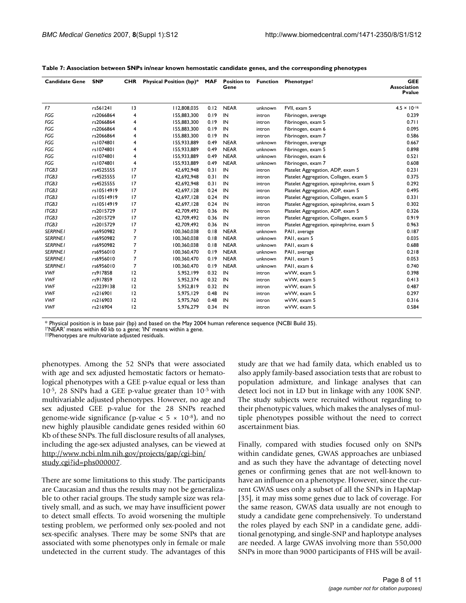| <b>Candidate Gene</b> | <b>SNP</b> | <b>CHR</b>     | Physical Position (bp)* | <b>MAF</b> | <b>Position to</b><br>Gene | <b>Function</b> | Phenotypet                                | <b>GEE</b><br><b>Association</b><br><b>P</b> value |
|-----------------------|------------|----------------|-------------------------|------------|----------------------------|-----------------|-------------------------------------------|----------------------------------------------------|
| F7                    | rs561241   | 13             | 112,808,035             | 0.12       | <b>NEAR</b>                | unknown         | FVII. exam 5                              | $4.5 \times 10^{-16}$                              |
| FGG                   | rs2066864  | 4              | 155,883,300             | 0.19       | IN                         | intron          | Fibrinogen, average                       | 0.239                                              |
| FGG                   | rs2066864  | 4              | 155,883,300             | 0.19       | IN                         | intron          | Fibrinogen, exam 5                        | 0.711                                              |
| FGG                   | rs2066864  | 4              | 155,883,300             | 0.19       | IN                         | intron          | Fibrinogen, exam 6                        | 0.095                                              |
| FGG                   | rs2066864  | 4              | 155,883,300             | 0.19       | IN                         | intron          | Fibrinogen, exam 7                        | 0.586                                              |
| FGG                   | rs1074801  | 4              | 155.933.889             | 0.49       | <b>NEAR</b>                | unknown         | Fibrinogen, average                       | 0.667                                              |
| FGG                   | rs1074801  | 4              | 155.933.889             | 0.49       | <b>NEAR</b>                | unknown         | Fibrinogen, exam 5                        | 0.898                                              |
| FGG                   | rs1074801  | 4              | 155.933.889             | 0.49       | <b>NEAR</b>                | unknown         | Fibrinogen, exam 6                        | 0.521                                              |
| FGG                   | rs1074801  | 4              | 155,933,889             | 0.49       | <b>NEAR</b>                | unknown         | Fibrinogen, exam 7                        | 0.608                                              |
| ITGB3                 | rs4525555  | 17             | 42,692,948              | 0.31       | IN                         | intron          | Platelet Aggregation, ADP, exam 5         | 0.231                                              |
| ITGB3                 | rs4525555  | 17             | 42.692.948              | 0.31       | IN                         | intron          | Platelet Aggregation, Collagen, exam 5    | 0.375                                              |
| ITGB3                 | rs4525555  | 17             | 42,692,948              | 0.31       | IN                         | intron          | Platelet Aggregation, epinephrine, exam 5 | 0.292                                              |
| ITGB3                 | rs10514919 | 17             | 42,697,128              | 0.24       | IN                         | intron          | Platelet Aggregation, ADP, exam 5         | 0.495                                              |
| ITGB3                 | rs10514919 | 17             | 42,697,128              | 0.24       | IN                         | intron          | Platelet Aggregation, Collagen, exam 5    | 0.331                                              |
| ITGB3                 | rs10514919 | 17             | 42,697,128              | 0.24       | IN                         | intron          | Platelet Aggregation, epinephrine, exam 5 | 0.302                                              |
| ITGB3                 | rs2015729  | 17             | 42.709.492              | 0.36       | IN                         | intron          | Platelet Aggregation, ADP, exam 5         | 0.326                                              |
| ITGB3                 | rs2015729  | 17             | 42.709.492              | 0.36       | IN                         | intron          | Platelet Aggregation, Collagen, exam 5    | 0.919                                              |
| ITGB3                 | rs2015729  | 17             | 42,709,492              | 0.36       | IN                         | intron          | Platelet Aggregation, epinephrine, exam 5 | 0.963                                              |
| <b>SERPINE I</b>      | rs6950982  | 7              | 100,360,038             | 0.18       | <b>NEAR</b>                | unknown         | PAII, average                             | 0.187                                              |
| <b>SERPINE I</b>      | rs6950982  | 7              | 100,360,038             | 0.18       | <b>NEAR</b>                | unknown         | PAII, exam 5                              | 0.035                                              |
| <b>SERPINE1</b>       | rs6950982  | $\overline{7}$ | 100.360.038             | 0.18       | <b>NEAR</b>                | unknown         | PAII, exam 6                              | 0.688                                              |
| <b>SERPINE1</b>       | rs6956010  | 7              | 100,360,470             | 0.19       | <b>NEAR</b>                | unknown         | PAII, average                             | 0.218                                              |
| <b>SERPINEI</b>       | rs6956010  | $\overline{7}$ | 100,360,470             | 0.19       | <b>NEAR</b>                | unknown         | PAII, exam 5                              | 0.053                                              |
| <b>SERPINEI</b>       | rs6956010  | $\overline{7}$ | 100,360,470             | 0.19       | <b>NEAR</b>                | unknown         | PAII, exam 6                              | 0.740                                              |
| <b>VWF</b>            | rs917858   | 12             | 5,952,199               | 0.32       | IN                         | intron          | wVW, exam 5                               | 0.398                                              |
| <b>VWF</b>            | rs917859   | 12             | 5,952,374               | 0.32       | IN                         | intron          | wVW, exam 5                               | 0.413                                              |
| <b>VWF</b>            | rs2239138  | 12             | 5,952,819               | 0.32       | IN                         | intron          | wVW, exam 5                               | 0.487                                              |
| <b>VWF</b>            | rs216901   | 12             | 5,975,129               | 0.48       | IN                         | intron          | wVW, exam 5                               | 0.297                                              |
| <b>VWF</b>            | rs216903   | 12             | 5,975,760               | 0.48       | IN                         | intron          | wVW, exam 5                               | 0.316                                              |
| <b>VWF</b>            | rs216904   | 12             | 5,976,279               | 0.34       | IN                         | intron          | wVW, exam 5                               | 0.584                                              |

\* Physical position is in base pair (bp) and based on the May 2004 human reference sequence (NCBI Build 35). †'NEAR' means within 60 kb to a gene; 'IN' means within a gene.

††Phenotypes are multivariate adjusted residuals.

phenotypes. Among the 52 SNPs that were associated with age and sex adjusted hemostatic factors or hematological phenotypes with a GEE p-value equal or less than 10-5, 28 SNPs had a GEE p-value greater than 10-5 with multivariable adjusted phenotypes. However, no age and sex adjusted GEE p-value for the 28 SNPs reached genome-wide significance (p-value  $< 5 \times 10^{-8}$ ), and no new highly plausible candidate genes resided within 60 Kb of these SNPs. The full disclosure results of all analyses, including the age-sex adjusted analyses, can be viewed at [http://www.ncbi.nlm.nih.gov/projects/gap/cgi-bin/](http://www.ncbi.nlm.nih.gov/projects/gap/cgi-bin/study.cgi?id=phs000007) [study.cgi?id=phs000007.](http://www.ncbi.nlm.nih.gov/projects/gap/cgi-bin/study.cgi?id=phs000007)

There are some limitations to this study. The participants are Caucasian and thus the results may not be generalizable to other racial groups. The study sample size was relatively small, and as such, we may have insufficient power to detect small effects. To avoid worsening the multiple testing problem, we performed only sex-pooled and not sex-specific analyses. There may be some SNPs that are associated with some phenotypes only in female or male undetected in the current study. The advantages of this study are that we had family data, which enabled us to also apply family-based association tests that are robust to population admixture, and linkage analyses that can detect loci not in LD but in linkage with any 100K SNP. The study subjects were recruited without regarding to their phenotypic values, which makes the analyses of multiple phenotypes possible without the need to correct ascertainment bias.

Finally, compared with studies focused only on SNPs within candidate genes, GWAS approaches are unbiased and as such they have the advantage of detecting novel genes or confirming genes that are not well-known to have an influence on a phenotype. However, since the current GWAS uses only a subset of all the SNPs in HapMap [35], it may miss some genes due to lack of coverage. For the same reason, GWAS data usually are not enough to study a candidate gene comprehensively. To understand the roles played by each SNP in a candidate gene, additional genotyping, and single-SNP and haplotype analyses are needed. A large GWAS involving more than 550,000 SNPs in more than 9000 participants of FHS will be avail-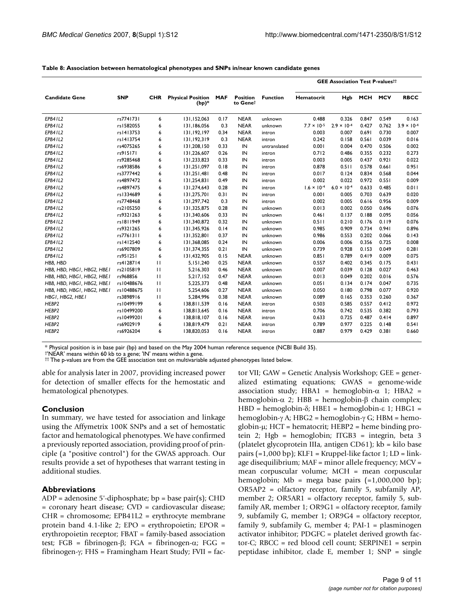|                            |               |              |                                     |            |                             |                 | <b>GEE Association Test P-valuesti</b> |                      |            |            |                      |
|----------------------------|---------------|--------------|-------------------------------------|------------|-----------------------------|-----------------|----------------------------------------|----------------------|------------|------------|----------------------|
| <b>Candidate Gene</b>      | <b>SNP</b>    | <b>CHR</b>   | <b>Physical Position</b><br>$(bp)*$ | <b>MAF</b> | <b>Position</b><br>to Genet | <b>Function</b> | Hematocrit                             | Hgb                  | <b>MCH</b> | <b>MCV</b> | <b>RBCC</b>          |
| EPB41L2                    | rs7741731     | 6            | 131,152,063                         | 0.17       | <b>NEAR</b>                 | unknown         | 0.488                                  | 0.326                | 0.847      | 0.549      | 0.163                |
| EPB41L2                    | rs1582055     | 6            | 131,186,056                         | 0.3        | <b>NEAR</b>                 | unknown         | $7.7 \times 10^{-5}$                   | $2.9 \times 10^{-4}$ | 0.427      | 0.762      | $3.9 \times 10^{-4}$ |
| EPB41L2                    | rs1413753     | 6            | 131,192,197                         | 0.34       | <b>NEAR</b>                 | intron          | 0.003                                  | 0.007                | 0.691      | 0.730      | 0.007                |
| EPB41L2                    | rs   4   3754 | 6            | 131,192,319                         | 0.3        | <b>NEAR</b>                 | intron          | 0.242                                  | 0.158                | 0.561      | 0.039      | 0.016                |
| EPB41L2                    | rs4075265     | 6            | 131,208,150                         | 0.33       | IN                          | untranslated    | 0.001                                  | 0.004                | 0.470      | 0.506      | 0.002                |
| EPB41L2                    | rs915171      | 6            | 131,226,607                         | 0.26       | IN                          | intron          | 0.712                                  | 0.486                | 0.355      | 0.232      | 0.273                |
| EPB41L2                    | rs9285468     | 6            | 131,233,823                         | 0.33       | IN                          | intron          | 0.003                                  | 0.005                | 0.437      | 0.921      | 0.022                |
| EPB41L2                    | rs6938586     | 6            | 131.251.097                         | 0.18       | IN                          | intron          | 0.878                                  | 0.511                | 0.578      | 0.661      | 0.951                |
| EPB41L2                    | rs3777442     | 6            | 131,251,481                         | 0.48       | IN                          | intron          | 0.017                                  | 0.124                | 0.834      | 0.568      | 0.044                |
| EPB41L2                    | rs4897472     | 6            | 131,254,831                         | 0.49       | IN                          | intron          | 0.002                                  | 0.022                | 0.972      | 0.551      | 0.009                |
| EPB41L2                    | rs4897475     | 6            | 131,274,643                         | 0.28       | IN                          | intron          | $1.6 \times 10^{-4}$                   | $6.0 \times 10^{-4}$ | 0.633      | 0.485      | 0.011                |
| EPB41L2                    | rs1334689     | 6            | 131,275,701                         | 0.31       | IN                          | intron          | 0.001                                  | 0.005                | 0.703      | 0.639      | 0.020                |
| EPB41L2                    | rs7748468     | 6            | 131,297,742                         | 0.3        | IN                          | intron          | 0.002                                  | 0.005                | 0.616      | 0.956      | 0.009                |
| EPB41L2                    | rs2105250     | 6            | 131,325,875                         | 0.28       | IN                          | unknown         | 0.013                                  | 0.002                | 0.050      | 0.696      | 0.076                |
| EPB41L2                    | rs9321263     | 6            | 131,340,606                         | 0.33       | IN                          | unknown         | 0.461                                  | 0.137                | 0.188      | 0.095      | 0.056                |
| EPB41L2                    | rs1811949     | 6            | 131,340,872                         | 0.32       | IN                          | unknown         | 0.511                                  | 0.210                | 0.176      | 0.119      | 0.076                |
| EPB41L2                    | rs9321265     | 6            | 131,345,926                         | 0.14       | IN                          | unknown         | 0.985                                  | 0.909                | 0.734      | 0.941      | 0.896                |
| EPB41L2                    | rs7761311     | 6            | 131,352,801                         | 0.37       | IN                          | unknown         | 0.986                                  | 0.553                | 0.202      | 0.066      | 0.143                |
| EPB41L2                    | rs1412540     | 6            | 131,368,085                         | 0.24       | IN                          | unknown         | 0.006                                  | 0.006                | 0.356      | 0.725      | 0.008                |
| EPB41L2                    | rs6907809     | 6            | 131,374,355                         | 0.21       | IN                          | unknown         | 0.739                                  | 0.928                | 0.153      | 0.049      | 0.281                |
| EPB41L2                    | rs951251      | 6            | 131,432,905                         | 0.15       | <b>NEAR</b>                 | unknown         | 0.851                                  | 0.789                | 0.419      | 0.009      | 0.075                |
| HBB, HBD                   | rs4128714     | $\mathbf{H}$ | 5,151,240                           | 0.25       | <b>NEAR</b>                 | unknown         | 0.557                                  | 0.402                | 0.345      | 0.175      | 0.431                |
| HBB, HBD, HBG1, HBG2, HBE1 | rs2105819     | $\mathbf{H}$ | 5,216,303                           | 0.46       | <b>NEAR</b>                 | unknown         | 0.007                                  | 0.039                | 0.128      | 0.027      | 0.463                |
| HBB, HBD, HBG1, HBG2, HBE1 | rs968856      | $\mathbf{H}$ | 5,217,152                           | 0.47       | <b>NEAR</b>                 | unknown         | 0.013                                  | 0.049                | 0.202      | 0.016      | 0.576                |
| HBB, HBD, HBGI, HBG2, HBEI | rs10488676    | $\mathbf{H}$ | 5,225,373                           | 0.48       | <b>NEAR</b>                 | unknown         | 0.051                                  | 0.134                | 0.174      | 0.047      | 0.735                |
| HBB, HBD, HBGI, HBG2, HBEI | rs10488675    | $\mathbf{H}$ | 5,254,606                           | 0.27       | <b>NEAR</b>                 | unknown         | 0.050                                  | 0.180                | 0.798      | 0.077      | 0.920                |
| HBGI, HBG2, HBEI           | rs3898916     | $\mathbf{H}$ | 5,284,996                           | 0.38       | <b>NEAR</b>                 | unknown         | 0.089                                  | 0.165                | 0.353      | 0.260      | 0.367                |
| HEBP2                      | rs10499199    | 6            | 138,811,539                         | 0.16       | <b>NEAR</b>                 | intron          | 0.503                                  | 0.585                | 0.557      | 0.412      | 0.972                |
| HEBP2                      | rs10499200    | 6            | 138,813,645                         | 0.16       | <b>NEAR</b>                 | intron          | 0.706                                  | 0.742                | 0.535      | 0.382      | 0.793                |
| HEBP2                      | rs10499201    | 6            | 138,818,107                         | 0.16       | <b>NEAR</b>                 | intron          | 0.633                                  | 0.725                | 0.487      | 0.414      | 0.897                |
| HEBP2                      | rs6902919     | 6            | 138,819,479                         | 0.21       | <b>NEAR</b>                 | intron          | 0.789                                  | 0.977                | 0.225      | 0.148      | 0.541                |
| HEBP2                      | rs6926204     | 6            | 138,820,053                         | 0.16       | <b>NEAR</b>                 | intron          | 0.887                                  | 0.979                | 0.429      | 0.381      | 0.660                |

#### **Table 8: Association between hematological phenotypes and SNPs in/near known candidate genes**

\* Physical position is in base pair (bp) and based on the May 2004 human reference sequence (NCBI Build 35).

†'NEAR' means within 60 kb to a gene; 'IN' means within a gene.

†† The p-values are from the GEE association test on multivariable adjusted phenotypes listed below.

able for analysis later in 2007, providing increased power for detection of smaller effects for the hemostatic and hematological phenotypes.

#### **Conclusion**

In summary, we have tested for association and linkage using the Affymetrix 100K SNPs and a set of hemostatic factor and hematological phenotypes. We have confirmed a previously reported association, providing proof of principle (a "positive control") for the GWAS approach. Our results provide a set of hypotheses that warrant testing in additional studies.

#### **Abbreviations**

 $ADP = adenosine 5'-diphosphate; bp = base pair(s); CHD$ = coronary heart disease; CVD = cardiovascular disease; CHR = chromosome; EPB41L2 = erythrocyte membrane protein band 4.1-like 2; EPO = erythropoietin; EPOR = erythropoietin receptor; FBAT = family-based association test; FGB = fibrinogen-β; FGA = fibrinogen-α; FGG = fibrinogen-γ; FHS = Framingham Heart Study; FVII = factor VII; GAW = Genetic Analysis Workshop; GEE = generalized estimating equations; GWAS = genome-wide association study; HBA1 = hemoglobin- $\alpha$  1; HBA2 = hemoglobin- $\alpha$  2; HBB = hemoglobin-β chain complex; HBD = hemoglobin-δ; HBE1 = hemoglobin-ε 1; HBG1 = hemoglobin-γ A; HBG2 = hemoglobin-γ G; HBM = hemoglobin-μ; HCT = hematocrit; HEBP2 = heme binding protein 2; Hgb = hemoglobin; ITGB3 = integrin, beta 3 (platelet glycoprotein IIIa, antigen CD61); kb = kilo base pairs  $(=1,000$  bp); KLF1 = Kruppel-like factor 1; LD = linkage disequilibrium; MAF = minor allele frequency; MCV = mean corpuscular volume; MCH = mean corpuscular hemoglobin; Mb = mega base pairs  $(=1,000,000$  bp); OR5AP2 = olfactory receptor, family 5, subfamily AP, member 2; OR5AR1 = olfactory receptor, family 5, subfamily AR, member 1; OR9G1 = olfactory receptor, family 9, subfamily G, member 1; OR9G4 = olfactory receptor, family 9, subfamily G, member 4; PAI-1 = plasminogen activator inhibitor; PDGFC = platelet derived growth factor-C; RBCC = red blood cell count; SERPINE1 = serpin peptidase inhibitor, clade E, member 1; SNP = single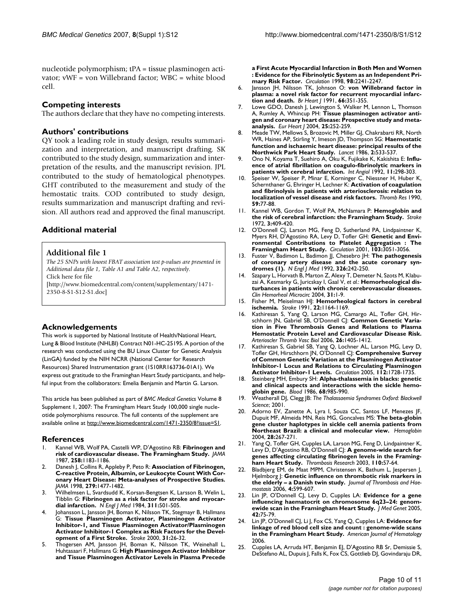nucleotide polymorphism; tPA = tissue plasminogen activator; vWF = von Willebrand factor; WBC = white blood cell.

# **Competing interests**

The authors declare that they have no competing interests.

# **Authors' contributions**

QY took a leading role in study design, results summarization and interpretation, and manuscript drafting. SK contributed to the study design, summarization and interpretation of the results, and the manuscript revision. JPL contributed to the study of hematological phenotypes. GHT contributed to the measurement and study of the hemostatic traits. COD contributed to study design, results summarization and manuscript drafting and revision. All authors read and approved the final manuscript.

# **Additional material**

# **Additional file 1**

*The 25 SNPs with lowest FBAT association test p-values are presented in Additional data file 1, Table A1 and Table A2, respectively.* Click here for file [\[http://www.biomedcentral.com/content/supplementary/1471-](http://www.biomedcentral.com/content/supplementary/1471-2350-8-S1-S12-S1.doc)

2350-8-S1-S12-S1.doc]

# **Acknowledgements**

This work is supported by National Institute of Health/National Heart, Lung & Blood Institute (NHLBI) Contract N01-HC-25195. A portion of the research was conducted using the BU Linux Cluster for Genetic Analysis (LinGA) funded by the NIH NCRR (National Center for Research Resources) Shared Instrumentation grant (1S10RR163736-01A1). We express out gratitude to the Framinghan Heart Study participants, and helpful input from the collaborators: Emelia Benjamin and Martin G. Larson.

This article has been published as part of *BMC Medical Genetics* Volume 8 Supplement 1, 2007: The Framingham Heart Study 100,000 single nucleotide polymorphisms resource. The full contents of the supplement are available online at<http://www.biomedcentral.com/1471-2350/8?issue=S1>.

# **References**

- 1. Kannel WB, Wolf PA, Castelli WP, D'Agostino RB: **[Fibrinogen and](http://www.ncbi.nlm.nih.gov/entrez/query.fcgi?cmd=Retrieve&db=PubMed&dopt=Abstract&list_uids=3626001) [risk of cardiovascular disease. The Framingham Study.](http://www.ncbi.nlm.nih.gov/entrez/query.fcgi?cmd=Retrieve&db=PubMed&dopt=Abstract&list_uids=3626001)** *JAMA* 1987, **258:**1183-1186.
- 2. Danesh J, Collins R, Appleby P, Peto R: **[Association of Fibrinogen,](http://www.ncbi.nlm.nih.gov/entrez/query.fcgi?cmd=Retrieve&db=PubMed&dopt=Abstract&list_uids=9600484) [C-reactive Protein, Albumin, or Leukocyte Count With Cor](http://www.ncbi.nlm.nih.gov/entrez/query.fcgi?cmd=Retrieve&db=PubMed&dopt=Abstract&list_uids=9600484)onary Heart Disease: Meta-analyses of Prospective Studies.** *JAMA* 1998, **279:**1477-1482.
- 3. Wilhelmsen L, Svardsudd K, Korsan-Bengtsen K, Larsson B, Welin L, Tibblin G: **[Fibrinogen as a risk factor for stroke and myocar](http://www.ncbi.nlm.nih.gov/entrez/query.fcgi?cmd=Retrieve&db=PubMed&dopt=Abstract&list_uids=6749207)[dial infarction.](http://www.ncbi.nlm.nih.gov/entrez/query.fcgi?cmd=Retrieve&db=PubMed&dopt=Abstract&list_uids=6749207)** *N Engl J Med* 1984, **311:**501-505.
- Johansson L, Jansson JH, Boman K, Nilsson TK, Stegmayr B, Hallmans G: **[Tissue Plasminogen Activator, Plasminogen Activator](http://www.ncbi.nlm.nih.gov/entrez/query.fcgi?cmd=Retrieve&db=PubMed&dopt=Abstract&list_uids=10625711) [Inhibitor-1, and Tissue Plasminogen Activator/Plasminogen](http://www.ncbi.nlm.nih.gov/entrez/query.fcgi?cmd=Retrieve&db=PubMed&dopt=Abstract&list_uids=10625711) Activator Inhibitor-1 Complex as Risk Factors for the Devel[opment of a First Stroke.](http://www.ncbi.nlm.nih.gov/entrez/query.fcgi?cmd=Retrieve&db=PubMed&dopt=Abstract&list_uids=10625711)** *Stroke* 2000, **31:**26-32.
- 5. Thogersen AM, Jansson JH, Boman K, Nilsson TK, Weinehall L, Huhtasaari F, Hallmans G: **[High Plasminogen Activator Inhibitor](http://www.ncbi.nlm.nih.gov/entrez/query.fcgi?cmd=Retrieve&db=PubMed&dopt=Abstract&list_uids=9826309) [and Tissue Plasminogen Activator Levels in Plasma Precede](http://www.ncbi.nlm.nih.gov/entrez/query.fcgi?cmd=Retrieve&db=PubMed&dopt=Abstract&list_uids=9826309)**

**[a First Acute Myocardial Infarction in Both Men and Women](http://www.ncbi.nlm.nih.gov/entrez/query.fcgi?cmd=Retrieve&db=PubMed&dopt=Abstract&list_uids=9826309) : Evidence for the Fibrinolytic System as an Independent Pri[mary Risk Factor.](http://www.ncbi.nlm.nih.gov/entrez/query.fcgi?cmd=Retrieve&db=PubMed&dopt=Abstract&list_uids=9826309)** *Circulation* 1998, **98:**2241-2247.

- 6. Jansson JH, Nilsson TK, Johnson O: **[von Willebrand factor in](http://www.ncbi.nlm.nih.gov/entrez/query.fcgi?cmd=Retrieve&db=PubMed&dopt=Abstract&list_uids=1747294) [plasma: a novel risk factor for recurrent myocardial infarc](http://www.ncbi.nlm.nih.gov/entrez/query.fcgi?cmd=Retrieve&db=PubMed&dopt=Abstract&list_uids=1747294)[tion and death.](http://www.ncbi.nlm.nih.gov/entrez/query.fcgi?cmd=Retrieve&db=PubMed&dopt=Abstract&list_uids=1747294)** *Br Heart J* 1991, **66:**351-355.
- Lowe GDO, Danesh J, Lewington S, Walker M, Lennon L, Thomson A, Rumley A, Whincup PH: **[Tissue plasminogen activator anti](http://www.ncbi.nlm.nih.gov/entrez/query.fcgi?cmd=Retrieve&db=PubMed&dopt=Abstract&list_uids=14972427)[gen and coronary heart disease: Prospective study and meta](http://www.ncbi.nlm.nih.gov/entrez/query.fcgi?cmd=Retrieve&db=PubMed&dopt=Abstract&list_uids=14972427)[analysis.](http://www.ncbi.nlm.nih.gov/entrez/query.fcgi?cmd=Retrieve&db=PubMed&dopt=Abstract&list_uids=14972427)** *Eur Heart J* 2004, **25:**252-259.
- 8. Meade TW, Mellows S, Brozovic M, Miller GJ, Chakrabarti RR, North WR, Haines AP, Stirling Y, Imeson JD, Thompson SG: **[Haemostatic](http://www.ncbi.nlm.nih.gov/entrez/query.fcgi?cmd=Retrieve&db=PubMed&dopt=Abstract&list_uids=2875280) [function and ischaemic heart disease: principal results of the](http://www.ncbi.nlm.nih.gov/entrez/query.fcgi?cmd=Retrieve&db=PubMed&dopt=Abstract&list_uids=2875280) [Northwick Park Heart Study.](http://www.ncbi.nlm.nih.gov/entrez/query.fcgi?cmd=Retrieve&db=PubMed&dopt=Abstract&list_uids=2875280)** *Lancet* 1986, **2:**533-537.
- 9. Ono N, Koyama T, Suehiro A, Oku K, Fujikake K, Kakishita E: **[Influ](http://www.ncbi.nlm.nih.gov/entrez/query.fcgi?cmd=Retrieve&db=PubMed&dopt=Abstract&list_uids=1284251)[ence of atrial fibrillation on coagulo-fibrinolytic markers in](http://www.ncbi.nlm.nih.gov/entrez/query.fcgi?cmd=Retrieve&db=PubMed&dopt=Abstract&list_uids=1284251) [patients with cerebral infarction.](http://www.ncbi.nlm.nih.gov/entrez/query.fcgi?cmd=Retrieve&db=PubMed&dopt=Abstract&list_uids=1284251)** *Int Angiol* 1992, **11:**298-303.
- 10. Speiser W, Speiser P, Minar E, Korninger C, Niessner H, Huber K, Schernthaner G, Ehringer H, Lechner K: **[Activation of coagulation](http://www.ncbi.nlm.nih.gov/entrez/query.fcgi?cmd=Retrieve&db=PubMed&dopt=Abstract&list_uids=2144671) [and fibrinolysis in patients with arteriosclerosis: relation to](http://www.ncbi.nlm.nih.gov/entrez/query.fcgi?cmd=Retrieve&db=PubMed&dopt=Abstract&list_uids=2144671) [localization of vessel disease and risk factors.](http://www.ncbi.nlm.nih.gov/entrez/query.fcgi?cmd=Retrieve&db=PubMed&dopt=Abstract&list_uids=2144671)** *Thromb Res* 1990, **59:**77-88.
- 11. Kannel WB, Gordon T, Wolf PA, McNamara P: **[Hemoglobin and](http://www.ncbi.nlm.nih.gov/entrez/query.fcgi?cmd=Retrieve&db=PubMed&dopt=Abstract&list_uids=4261794) [the risk of cerebral infarction: the Framingham Study.](http://www.ncbi.nlm.nih.gov/entrez/query.fcgi?cmd=Retrieve&db=PubMed&dopt=Abstract&list_uids=4261794)** *Stroke* 1972, **3:**409-420.
- 12. O'Donnell CJ, Larson MG, Feng D, Sutherland PA, Lindpaintner K, Myers RH, D'Agostino RA, Levy D, Tofler GH: **[Genetic and Envi](http://www.ncbi.nlm.nih.gov/entrez/query.fcgi?cmd=Retrieve&db=PubMed&dopt=Abstract&list_uids=11425767)[ronmental Contributions to Platelet Aggregation : The](http://www.ncbi.nlm.nih.gov/entrez/query.fcgi?cmd=Retrieve&db=PubMed&dopt=Abstract&list_uids=11425767) [Framingham Heart Study.](http://www.ncbi.nlm.nih.gov/entrez/query.fcgi?cmd=Retrieve&db=PubMed&dopt=Abstract&list_uids=11425767)** *Circulation* 2001, **103:**3051-3056.
- 13. Fuster V, Badimon L, Badimon JJ, Chesebro JH: **[The pathogenesis](http://www.ncbi.nlm.nih.gov/entrez/query.fcgi?cmd=Retrieve&db=PubMed&dopt=Abstract&list_uids=1727977) [of coronary artery disease and the acute coronary syn](http://www.ncbi.nlm.nih.gov/entrez/query.fcgi?cmd=Retrieve&db=PubMed&dopt=Abstract&list_uids=1727977)[dromes \(1\).](http://www.ncbi.nlm.nih.gov/entrez/query.fcgi?cmd=Retrieve&db=PubMed&dopt=Abstract&list_uids=1727977)** *N Engl J Med* 1992, **326:**242-250.
- 14. Szapary L, Horvath B, Marton Z, Alexy T, Demeter N, Szots M, Klabuzai A, Kesmarky G, Juricskay I, Gaal V, *et al.*: **[Hemorheological dis](http://www.ncbi.nlm.nih.gov/entrez/query.fcgi?cmd=Retrieve&db=PubMed&dopt=Abstract&list_uids=15272148)[turbances in patients with chronic cerebrovascular diseases.](http://www.ncbi.nlm.nih.gov/entrez/query.fcgi?cmd=Retrieve&db=PubMed&dopt=Abstract&list_uids=15272148)** *Clin Hemorheol Microcirc* 2004, **31:**1-9.
- 15. Fisher M, Meiselman HJ: **[Hemorheological factors in cerebral](http://www.ncbi.nlm.nih.gov/entrez/query.fcgi?cmd=Retrieve&db=PubMed&dopt=Abstract&list_uids=1833861) [ischemia.](http://www.ncbi.nlm.nih.gov/entrez/query.fcgi?cmd=Retrieve&db=PubMed&dopt=Abstract&list_uids=1833861)** *Stroke* 1991, **22:**1164-1169.
- 16. Kathiresan S, Yang Q, Larson MG, Camargo AL, Tofler GH, Hirschhorn JN, Gabriel SB, O'Donnell CJ: **[Common Genetic Varia](http://www.ncbi.nlm.nih.gov/entrez/query.fcgi?cmd=Retrieve&db=PubMed&dopt=Abstract&list_uids=16614319)[tion in Five Thrombosis Genes and Relations to Plasma](http://www.ncbi.nlm.nih.gov/entrez/query.fcgi?cmd=Retrieve&db=PubMed&dopt=Abstract&list_uids=16614319) Hemostatic Protein Level and Cardiovascular Disease Risk.** *Arterioscler Thromb Vasc Biol* 2006, **26:**1405-1412.
- 17. Kathiresan S, Gabriel SB, Yang Q, Lochner AL, Larson MG, Levy D, Tofler GH, Hirschhorn JN, O'Donnell CJ: **[Comprehensive Survey](http://www.ncbi.nlm.nih.gov/entrez/query.fcgi?cmd=Retrieve&db=PubMed&dopt=Abstract&list_uids=16172282) [of Common Genetic Variation at the Plasminogen Activator](http://www.ncbi.nlm.nih.gov/entrez/query.fcgi?cmd=Retrieve&db=PubMed&dopt=Abstract&list_uids=16172282) Inhibitor-1 Locus and Relations to Circulating Plasminogen [Activator Inhibitor-1 Levels.](http://www.ncbi.nlm.nih.gov/entrez/query.fcgi?cmd=Retrieve&db=PubMed&dopt=Abstract&list_uids=16172282)** *Circulation* 2005, **112:**1728-1735.
- 18. Steinberg MH, Embury SH: **[Alpha-thalassemia in blacks: genetic](http://www.ncbi.nlm.nih.gov/entrez/query.fcgi?cmd=Retrieve&db=PubMed&dopt=Abstract&list_uids=3533181) [and clinical aspects and interactions with the sickle hemo](http://www.ncbi.nlm.nih.gov/entrez/query.fcgi?cmd=Retrieve&db=PubMed&dopt=Abstract&list_uids=3533181)[globin gene.](http://www.ncbi.nlm.nih.gov/entrez/query.fcgi?cmd=Retrieve&db=PubMed&dopt=Abstract&list_uids=3533181)** *Blood* 1986, **68:**985-990.
- 19. Weatherall DJ, Clegg JB: *The Thalassaemia Syndromes Oxford: Blackwell Science*; 2001.
- 20. Adorno EV, Zanette A, Lyra I, Souza CC, Santos LF, Menezes JF, Dupuit MF, Almeida MN, Reis MG, Goncalves MS: **[The beta-globin](http://www.ncbi.nlm.nih.gov/entrez/query.fcgi?cmd=Retrieve&db=PubMed&dopt=Abstract&list_uids=15481897) [gene cluster haplotypes in sickle cell anemia patients from](http://www.ncbi.nlm.nih.gov/entrez/query.fcgi?cmd=Retrieve&db=PubMed&dopt=Abstract&list_uids=15481897) [Northeast Brazil: a clinical and molecular view.](http://www.ncbi.nlm.nih.gov/entrez/query.fcgi?cmd=Retrieve&db=PubMed&dopt=Abstract&list_uids=15481897)** *Hemoglobin* 2004, **28:**267-271.
- 21. Yang Q, Tofler GH, Cupples LA, Larson MG, Feng D, Lindpaintner K, Levy D, D'Agostino RB, O'Donnell CJ: **[A genome-wide search for](http://www.ncbi.nlm.nih.gov/entrez/query.fcgi?cmd=Retrieve&db=PubMed&dopt=Abstract&list_uids=12877910) [genes affecting circulating fibrinogen levels in the Framing](http://www.ncbi.nlm.nih.gov/entrez/query.fcgi?cmd=Retrieve&db=PubMed&dopt=Abstract&list_uids=12877910)[ham Heart Study.](http://www.ncbi.nlm.nih.gov/entrez/query.fcgi?cmd=Retrieve&db=PubMed&dopt=Abstract&list_uids=12877910)** *Thrombosis Research* 2003, **110:**57-64.
- Bladbjerg EM, de Maat MPM, Christensen K, Bathum L, Jespersen J, Hjelmborg J: **Genetic influence on thrombotic risk markers in the elderly – a Danish twin study.** *Journal of Thrombosis and Haemostasis* 2006, **4:**599-607.
- 23. Lin JP, O'Donnell CJ, Levy D, Cupples LA: **[Evidence for a gene](http://www.ncbi.nlm.nih.gov/entrez/query.fcgi?cmd=Retrieve&db=PubMed&dopt=Abstract&list_uids=15635079) [influencing haematocrit on chromosome 6q23–24: genom](http://www.ncbi.nlm.nih.gov/entrez/query.fcgi?cmd=Retrieve&db=PubMed&dopt=Abstract&list_uids=15635079)[ewide scan in the Framingham Heart Study.](http://www.ncbi.nlm.nih.gov/entrez/query.fcgi?cmd=Retrieve&db=PubMed&dopt=Abstract&list_uids=15635079)** *J Med Genet* 2005, **42:**75-79.
- 24. Lin JP, O'Donnell CJ, Li J, Fox CS, Yang Q, Cupples LA: **[Evidence for](http://www.ncbi.nlm.nih.gov/entrez/query.fcgi?cmd=Retrieve&db=PubMed&dopt=Abstract&list_uids=16432862) [linkage of red blood cell size and count : genome-wide scans](http://www.ncbi.nlm.nih.gov/entrez/query.fcgi?cmd=Retrieve&db=PubMed&dopt=Abstract&list_uids=16432862) [in the Framingham Heart Study.](http://www.ncbi.nlm.nih.gov/entrez/query.fcgi?cmd=Retrieve&db=PubMed&dopt=Abstract&list_uids=16432862)** *American Journal of Hematology* 2006.
- 25. Cupples LA, Arruda HT, Benjamin EJ, D'Agostino RB Sr, Demissie S, DeStefano AL, Dupuis J, Falls K, Fox CS, Gottlieb DJ, Govindaraju DR,